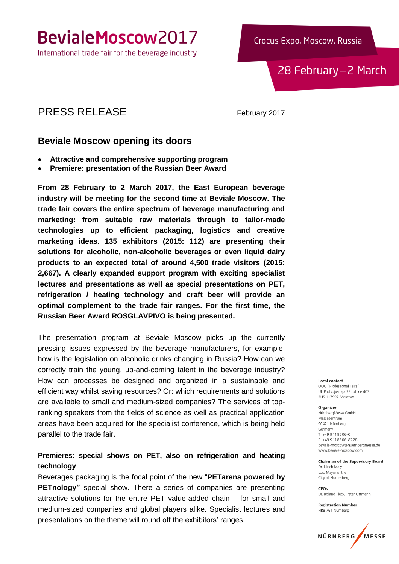### BevialeMoscow2017

International trade fair for the beverage industry

Crocus Expo, Moscow, Russia

28 February-2 March

### PRESS RELEASE February 2017

### **Beviale Moscow opening its doors**

- **Attractive and comprehensive supporting program**
- **Premiere: presentation of the Russian Beer Award**

**From 28 February to 2 March 2017, the East European beverage industry will be meeting for the second time at Beviale Moscow. The trade fair covers the entire spectrum of beverage manufacturing and marketing: from suitable raw materials through to tailor-made technologies up to efficient packaging, logistics and creative marketing ideas. 135 exhibitors (2015: 112) are presenting their solutions for alcoholic, non-alcoholic beverages or even liquid dairy products to an expected total of around 4,500 trade visitors (2015: 2,667). A clearly expanded support program with exciting specialist lectures and presentations as well as special presentations on PET, refrigeration / heating technology and craft beer will provide an optimal complement to the trade fair ranges. For the first time, the Russian Beer Award ROSGLAVPIVO is being presented.** 

The presentation program at Beviale Moscow picks up the currently pressing issues expressed by the beverage manufacturers, for example: how is the legislation on alcoholic drinks changing in Russia? How can we correctly train the young, up-and-coming talent in the beverage industry? How can processes be designed and organized in a sustainable and efficient way whilst saving resources? Or: which requirements and solutions are available to small and medium-sized companies? The services of topranking speakers from the fields of science as well as practical application areas have been acquired for the specialist conference, which is being held parallel to the trade fair.

#### **Premieres: special shows on PET, also on refrigeration and heating technology**

Beverages packaging is the focal point of the new "**PETarena powered by PETnology"** special show. There a series of companies are presenting attractive solutions for the entire PET value-added chain – for small and medium-sized companies and global players alike. Specialist lectures and presentations on the theme will round off the exhibitors' ranges.

**Local contact** OOO "Professional Fairs" Ul. Profsojusnaja 23, office 403 RUS-117997 Moscow

#### Organizer

NürnberaMesse GmbH Messezentrum 90471 Nürnberg Germany  $T + 499118606 - 0$ F +49 9 11 8 6 0 6 - 8 2 2 8 beviale-moscow@nuernbergmesse.de www.beviale-moscow.com

Chairman of the Supervisory Board Dr. Ulrich Malv Lord Mayor of the City of Nuremberg

CEOs Dr. Roland Fleck, Peter Ottmann

**Registration Number** HRB 761 Nürnberg

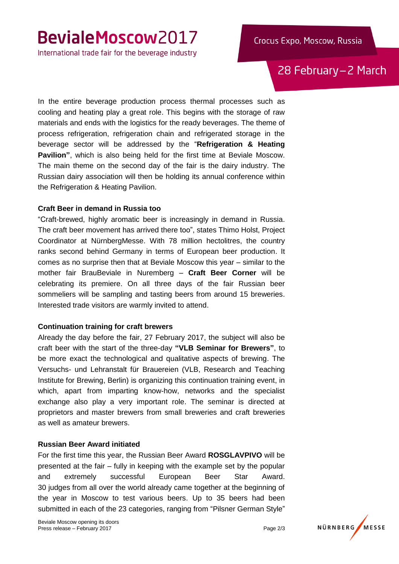## BevialeMoscow2017

International trade fair for the beverage industry

28 February-2 March

In the entire beverage production process thermal processes such as cooling and heating play a great role. This begins with the storage of raw materials and ends with the logistics for the ready beverages. The theme of process refrigeration, refrigeration chain and refrigerated storage in the beverage sector will be addressed by the "**Refrigeration & Heating Pavilion"**, which is also being held for the first time at Beviale Moscow. The main theme on the second day of the fair is the dairy industry. The Russian dairy association will then be holding its annual conference within the Refrigeration & Heating Pavilion.

#### **Craft Beer in demand in Russia too**

"Craft-brewed, highly aromatic beer is increasingly in demand in Russia. The craft beer movement has arrived there too", states Thimo Holst, Project Coordinator at NürnbergMesse. With 78 million hectolitres, the country ranks second behind Germany in terms of European beer production. It comes as no surprise then that at Beviale Moscow this year – similar to the mother fair BrauBeviale in Nuremberg – **Craft Beer Corner** will be celebrating its premiere. On all three days of the fair Russian beer sommeliers will be sampling and tasting beers from around 15 breweries. Interested trade visitors are warmly invited to attend.

#### **Continuation training for craft brewers**

Already the day before the fair, 27 February 2017, the subject will also be craft beer with the start of the three-day **"VLB Seminar for Brewers"**, to be more exact the technological and qualitative aspects of brewing. The Versuchs- und Lehranstalt für Brauereien (VLB, Research and Teaching Institute for Brewing, Berlin) is organizing this continuation training event, in which, apart from imparting know-how, networks and the specialist exchange also play a very important role. The seminar is directed at proprietors and master brewers from small breweries and craft breweries as well as amateur brewers.

#### **Russian Beer Award initiated**

For the first time this year, the Russian Beer Award **ROSGLAVPIVO** will be presented at the fair – fully in keeping with the example set by the popular and extremely successful European Beer Star Award. 30 judges from all over the world already came together at the beginning of the year in Moscow to test various beers. Up to 35 beers had been submitted in each of the 23 categories, ranging from "Pilsner German Style"